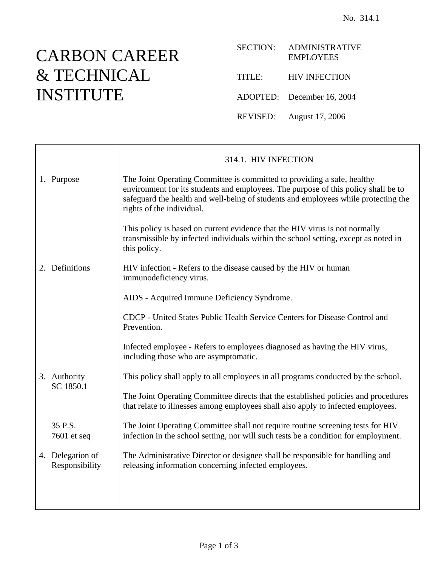## CARBON CAREER & TECHNICAL INSTITUTE

| <b>SECTION:</b> | <b>ADMINISTRATIVE</b><br><b>EMPLOYEES</b> |
|-----------------|-------------------------------------------|
| TITLE:          | <b>HIV INFECTION</b>                      |
|                 | ADOPTED: December 16, 2004                |
| REVISED:        | August 17, 2006                           |

|                                    | 314.1. HIV INFECTION                                                                                                                                                                                                                                                             |
|------------------------------------|----------------------------------------------------------------------------------------------------------------------------------------------------------------------------------------------------------------------------------------------------------------------------------|
| 1. Purpose                         | The Joint Operating Committee is committed to providing a safe, healthy<br>environment for its students and employees. The purpose of this policy shall be to<br>safeguard the health and well-being of students and employees while protecting the<br>rights of the individual. |
|                                    | This policy is based on current evidence that the HIV virus is not normally<br>transmissible by infected individuals within the school setting, except as noted in<br>this policy.                                                                                               |
| 2. Definitions                     | HIV infection - Refers to the disease caused by the HIV or human<br>immunodeficiency virus.                                                                                                                                                                                      |
|                                    | AIDS - Acquired Immune Deficiency Syndrome.                                                                                                                                                                                                                                      |
|                                    | CDCP - United States Public Health Service Centers for Disease Control and<br>Prevention.                                                                                                                                                                                        |
| 3. Authority<br>SC 1850.1          | Infected employee - Refers to employees diagnosed as having the HIV virus,<br>including those who are asymptomatic.                                                                                                                                                              |
|                                    | This policy shall apply to all employees in all programs conducted by the school.                                                                                                                                                                                                |
|                                    | The Joint Operating Committee directs that the established policies and procedures<br>that relate to illnesses among employees shall also apply to infected employees.                                                                                                           |
| 35 P.S.<br>7601 et seq             | The Joint Operating Committee shall not require routine screening tests for HIV<br>infection in the school setting, nor will such tests be a condition for employment.                                                                                                           |
| 4. Delegation of<br>Responsibility | The Administrative Director or designee shall be responsible for handling and<br>releasing information concerning infected employees.                                                                                                                                            |
|                                    |                                                                                                                                                                                                                                                                                  |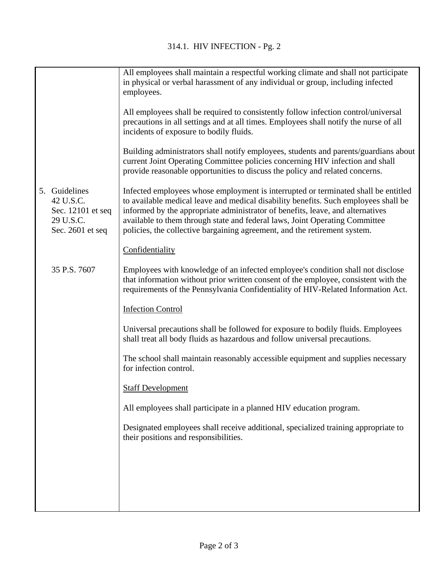|                                                                                  | All employees shall maintain a respectful working climate and shall not participate<br>in physical or verbal harassment of any individual or group, including infected<br>employees.                                                                                                                                                                                                                                    |
|----------------------------------------------------------------------------------|-------------------------------------------------------------------------------------------------------------------------------------------------------------------------------------------------------------------------------------------------------------------------------------------------------------------------------------------------------------------------------------------------------------------------|
|                                                                                  | All employees shall be required to consistently follow infection control/universal<br>precautions in all settings and at all times. Employees shall notify the nurse of all<br>incidents of exposure to bodily fluids.                                                                                                                                                                                                  |
|                                                                                  | Building administrators shall notify employees, students and parents/guardians about<br>current Joint Operating Committee policies concerning HIV infection and shall<br>provide reasonable opportunities to discuss the policy and related concerns.                                                                                                                                                                   |
| 5. Guidelines<br>42 U.S.C.<br>Sec. 12101 et seq<br>29 U.S.C.<br>Sec. 2601 et seq | Infected employees whose employment is interrupted or terminated shall be entitled<br>to available medical leave and medical disability benefits. Such employees shall be<br>informed by the appropriate administrator of benefits, leave, and alternatives<br>available to them through state and federal laws, Joint Operating Committee<br>policies, the collective bargaining agreement, and the retirement system. |
|                                                                                  | Confidentiality                                                                                                                                                                                                                                                                                                                                                                                                         |
| 35 P.S. 7607                                                                     | Employees with knowledge of an infected employee's condition shall not disclose<br>that information without prior written consent of the employee, consistent with the<br>requirements of the Pennsylvania Confidentiality of HIV-Related Information Act.                                                                                                                                                              |
|                                                                                  | <b>Infection Control</b>                                                                                                                                                                                                                                                                                                                                                                                                |
|                                                                                  | Universal precautions shall be followed for exposure to bodily fluids. Employees<br>shall treat all body fluids as hazardous and follow universal precautions.                                                                                                                                                                                                                                                          |
|                                                                                  | The school shall maintain reasonably accessible equipment and supplies necessary<br>for infection control.                                                                                                                                                                                                                                                                                                              |
|                                                                                  | <b>Staff Development</b>                                                                                                                                                                                                                                                                                                                                                                                                |
|                                                                                  | All employees shall participate in a planned HIV education program.                                                                                                                                                                                                                                                                                                                                                     |
|                                                                                  | Designated employees shall receive additional, specialized training appropriate to<br>their positions and responsibilities.                                                                                                                                                                                                                                                                                             |
|                                                                                  |                                                                                                                                                                                                                                                                                                                                                                                                                         |
|                                                                                  |                                                                                                                                                                                                                                                                                                                                                                                                                         |
|                                                                                  |                                                                                                                                                                                                                                                                                                                                                                                                                         |